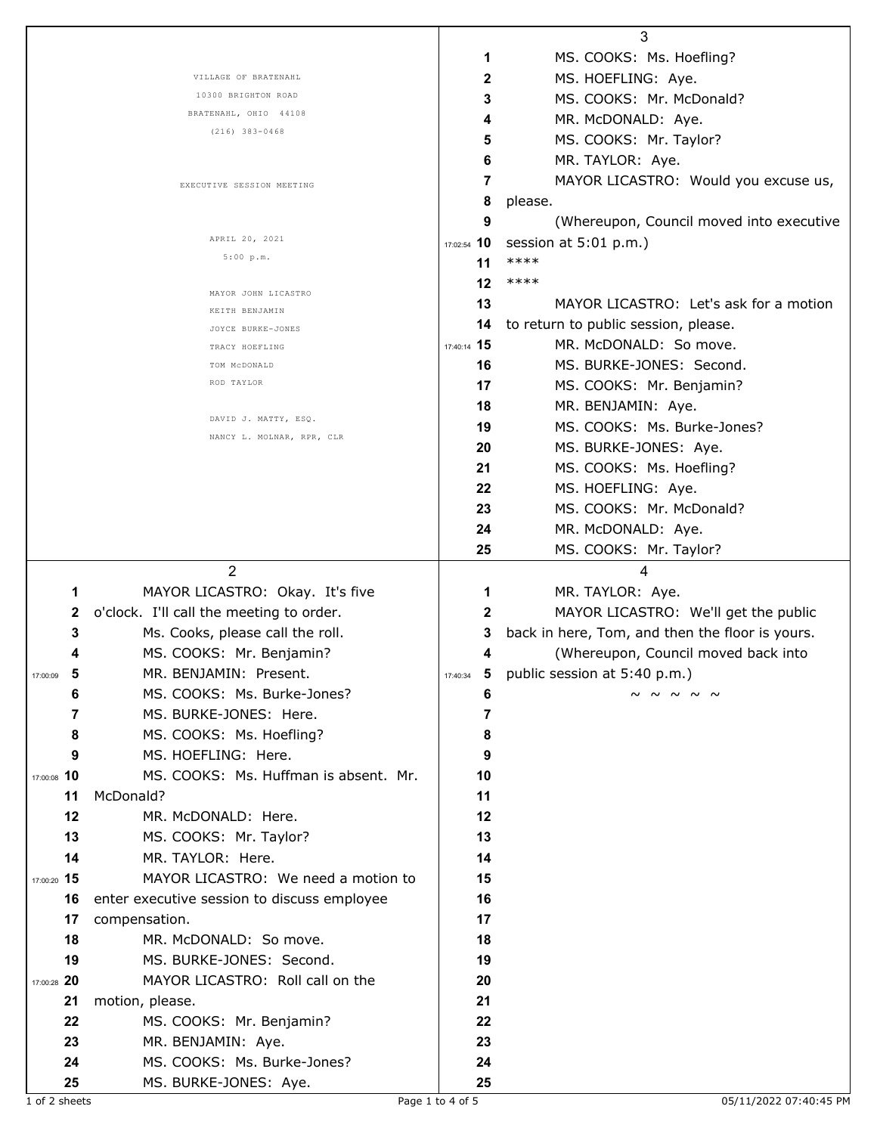|                 |                                                      |                | 3                                               |
|-----------------|------------------------------------------------------|----------------|-------------------------------------------------|
|                 |                                                      | 1              | MS. COOKS: Ms. Hoefling?                        |
|                 | VILLAGE OF BRATENAHL                                 | 2              | MS. HOEFLING: Aye.                              |
|                 | 10300 BRIGHTON ROAD                                  | 3              | MS. COOKS: Mr. McDonald?                        |
|                 | BRATENAHL, OHIO 44108                                | 4              | MR. McDONALD: Aye.                              |
|                 | $(216)$ 383-0468                                     | 5              | MS. COOKS: Mr. Taylor?                          |
|                 |                                                      | 6              | MR. TAYLOR: Aye.                                |
|                 | EXECUTIVE SESSION MEETING                            | $\overline{7}$ | MAYOR LICASTRO: Would you excuse us,            |
|                 |                                                      | 8              | please.                                         |
|                 |                                                      | 9              | (Whereupon, Council moved into executive        |
|                 | APRIL 20, 2021                                       | 17:02:54 10    | session at 5:01 p.m.)                           |
|                 | 5:00 p.m.                                            | 11             | ****                                            |
|                 |                                                      | 12             | ****                                            |
|                 | MAYOR JOHN LICASTRO<br>KEITH BENJAMIN                | 13             | MAYOR LICASTRO: Let's ask for a motion          |
|                 | JOYCE BURKE-JONES                                    | 14             | to return to public session, please.            |
|                 | TRACY HOEFLING                                       | 17:40:14 15    | MR. McDONALD: So move.                          |
|                 | TOM MCDONALD                                         | 16             | MS. BURKE-JONES: Second.                        |
|                 | ROD TAYLOR                                           | 17             | MS. COOKS: Mr. Benjamin?                        |
|                 |                                                      | 18             | MR. BENJAMIN: Aye.                              |
|                 | DAVID J. MATTY, ESQ.                                 | 19             | MS. COOKS: Ms. Burke-Jones?                     |
|                 | NANCY L. MOLNAR, RPR, CLR                            | 20             | MS. BURKE-JONES: Aye.                           |
|                 |                                                      | 21             | MS. COOKS: Ms. Hoefling?                        |
|                 |                                                      | 22             | MS. HOEFLING: Aye.                              |
|                 |                                                      | 23             | MS. COOKS: Mr. McDonald?                        |
|                 |                                                      | 24             | MR. McDONALD: Aye.                              |
|                 |                                                      | 25             | MS. COOKS: Mr. Taylor?                          |
|                 |                                                      |                |                                                 |
|                 | 2                                                    |                | 4                                               |
| 1               | MAYOR LICASTRO: Okay. It's five                      | 1              | MR. TAYLOR: Aye.                                |
| 2               | o'clock. I'll call the meeting to order.             | $\mathbf{2}$   | MAYOR LICASTRO: We'll get the public            |
| 3               | Ms. Cooks, please call the roll.                     | 3              | back in here, Tom, and then the floor is yours. |
| 4               | MS. COOKS: Mr. Benjamin?                             | 4              | (Whereupon, Council moved back into             |
| - 5<br>17:00:09 | MR. BENJAMIN: Present.                               | 17:40:34       | 5 public session at 5:40 p.m.)                  |
| 6               | MS. COOKS: Ms. Burke-Jones?                          | 6              | ~ ~ ~ ~ ~                                       |
| 7               | MS. BURKE-JONES: Here.                               | 7              |                                                 |
| 8               | MS. COOKS: Ms. Hoefling?                             | 8              |                                                 |
| 9               | MS. HOEFLING: Here.                                  | 9              |                                                 |
| 17:00:08 10     | MS. COOKS: Ms. Huffman is absent. Mr.                | 10             |                                                 |
| 11              | McDonald?                                            | 11             |                                                 |
| 12              | MR. McDONALD: Here.                                  | 12             |                                                 |
| 13              | MS. COOKS: Mr. Taylor?                               | 13             |                                                 |
| 14              | MR. TAYLOR: Here.                                    | 14             |                                                 |
| 17:00:20 15     | MAYOR LICASTRO: We need a motion to                  | 15             |                                                 |
| 16              | enter executive session to discuss employee          | 16             |                                                 |
| 17              | compensation.                                        | 17             |                                                 |
| 18              | MR. McDONALD: So move.                               | 18             |                                                 |
| 19              | MS. BURKE-JONES: Second.                             | 19             |                                                 |
| 17:00:28 20     | MAYOR LICASTRO: Roll call on the                     | 20             |                                                 |
| 21              | motion, please.                                      | 21             |                                                 |
| 22              | MS. COOKS: Mr. Benjamin?                             | 22             |                                                 |
| 23              | MR. BENJAMIN: Aye.                                   | 23             |                                                 |
| 24<br>25        | MS. COOKS: Ms. Burke-Jones?<br>MS. BURKE-JONES: Aye. | 24<br>25       |                                                 |